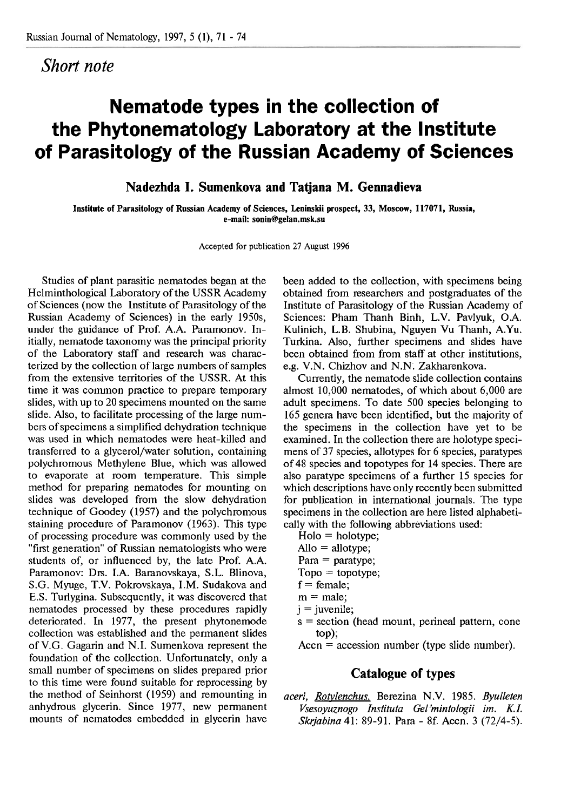## *Short note*

## **Nematode types in the collection of the Phytonematology Laboratory at the Institute of Parasitology of the Russian Academy of Sciences**

**Nadezhda I. Sumenkova and Tatjana M. Gemadieva** 

**Institute of Parasitology of Russian Academy of Sciences, Leninskii prospect, 33, Moscow, 117071, Russia, c-mail: soninbgelan.msk.su** 

**Accepted for publication 27 August 1996** 

Studies of plant parasitic nematodes began at the Helminthological Laboratory of the USSR Academy of Sciences (now the Institute of Parasitology of the Russian Academy of Sciences) in the early 1950s, under the guidance of Prof. A.A. Paramonov. Initially, nematode taxonomy was the principal priority of the Laboratory staff and research was characterized by the collection of large numbers of samples from the extensive territories of the USSR. At this time it was common practice to prepare temporary slides, with up to 20 specimens mounted on the same slide. Also, to facilitate processing of the large numbers of specimens a simplified dehydration technique was used in which nematodes were heat-killed and transferred to a glycerol/water solution, containing polychromous Methylene Blue, which was allowed to evaporate at room temperature. This simple method for preparing nematodes for mounting on slides was developed from the slow dehydration technique of Goodey (1957) and the polychromous staining procedure of Paramonov (1963). This type of processing procedure was commonly used by the "first generation" of Russian nematologists who were students of, or influenced by, the late Prof. A.A. Paramonov: Drs. I.A. Baranovskaya, S.L. Blinova, S.G. Myuge, T.V. Pokrovskaya, I.M. Sudakova and E.S. Turlygina. Subsequently, it was discovered that nematodes processed by these procedures rapidly deteriorated. In 1977, the present phytonemode collection wag established and the permanent slides of V.G. Gagarin and N. I. Sumenkova represent the foundation of the collection. Unfortunately, only a small number of specimens on slides prepared prior to this time were found suitable for reprocessing by the method of Seinhorst (1959) and remounting in anhydrous glycerin. Since 1977, new permanent mounts of nematodes embedded in glycerin have

been added to the collection, with specimens being obtained from researchers and postgraduates of the Institute of Parasitology of the Russian Academy of Sciences: Pham Thanh Binh, L.V. Pavlyuk, O.A. Kulinich, L.B. Shubina, Nguyen Vu Thanh, A.Yu. Turkina. Also, further specimens and slides have been obtained from from staff at other institutions, e.g. V.N. Chizhov and N.N. Zakharenkova.

Currently, the nematode slide collection contains almost 10,000 nematodes, of which about 6,000 are adult specimens. To date 500 species belonging to 165 genera have been identified, but the majority of the specimens in the collection have yet to be examined. In the collection there are holotype specimens of 37 species, allotypes for 6 species, paratypes of 48 species and topotypes for 14 species. There are also paratype specimens of a further 15 species for which descriptions have only recently been submitted for publication in international journals. The type specimens in the collection are here listed alphabetically with the following abbreviations used:

 $Holo = holotype;$ 

- $\text{Allo} = \text{allotype}$ ;
- $Para = paratype;$
- $Topo = topotype;$
- $f =$  female:
- $m = male$ ;
- $j =$ juvenile;
- 
- $s = section$  (head mount, perineal pattern, cone top);
- $Accn = accession number (type slide number).$

## **Catalogue of types**

*aceri, Ro&lenchus.* Berezina N.V. 1985. *Byulleten Vsesoyuznogo Instituta Gel'mintologii irn. K.I. Skvjabina* 41: 89-91. Para - 8f. Accn. 3 (72/4-5).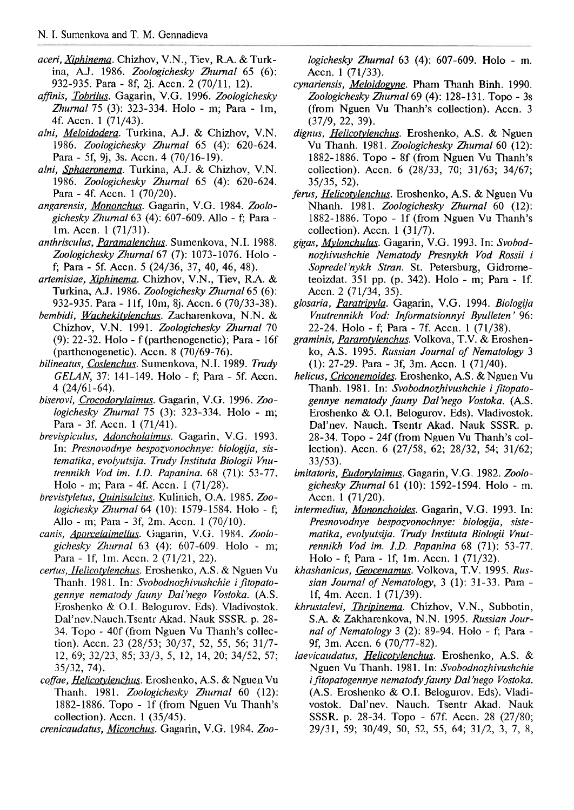- aceri, Xiphinema. Chizhov, V.N., Tiev, R.A. & Turkina, A.J. 1986. Zoologichesky Zhurnal 65 (6): 932-935. Para - Sf, 2j. Accn. 2 (70/11, 12).
- afinis, Tobrilus. Gagarin, V.G. 1996. Zoologichesky Zhurnal 75 (3): 323-334. Holo - m; Para - lm, 4f. Accn. 1 (71/43).
- alni, Meloidodera. Turkina, A.J. & Chizhov, V.N. 1986. Zoologichesky Zhurnal 65 (4): 620-624. Para - 5f, 9j, 3s. Accn. 4 (70/16-19).
- alni, Sphaeronema. Turkina, A.J. & Chizhov, V.N. 1986. Zoologichesky Zhurnal 65 (4): 620-624. Para - 4f. Accn. 1 (70/20).
- angarensis, Mononchus. Gagarin, V.G. 1984. Zoologichesky Zhurnal63 (4); 607-609. Allo - **f;** Para lm. Accn. 1 (71/31).
- anthrisculus, Paramalenchus. Sumenkova, N.I. 1988. Zoologichesky Zhurnal67 (7): 1073-1076. Holo **f;** Para - Sf. Accn. 5 (24/36, 37, 40, 46, 48).
- artemisiae, Xiphinema. Chizhov, V.N., Tiev, R.A. & Turkina, A.J. 1986. Zoologichesky Zhurnal65 (6): 932-935. Para - 1 lf, 10m, 8j. Accn. 6 (70/33-38).
- bembidi, Wachekitylenchus. Zacharenkova, N.N. & Chizhov, V.N. 1991. Zoologichesky Zhurnal 70 (9): 22-32. Holo - f (parthenogenetic); Para - 16f (parthenogenetic). Accn. 8 (70/69-76).
- bilineatus, Coslenchus. Sumenkova, N.I. 1989. Trudy GELAN, 37: 141-149. Holo - **f;** Para - Sf. Accn. 4  $(24/61 - 64)$ .
- biserovi, Crocodorylaimus. Gagarin, V.G. 1996. Zoologichesky Zhurnal 75 (3): 323-334. Holo - m; Para - 3f. Accn. 1 (71/41).
- brevispiculus, Adoncholaimus. Gagarin, V.G. 1993. In: Presnovodnye bespozyonochnye: biologija, sistematika, evolyutsija. Trudy Instituta Biologii Vnutrennikh Vod im. I.D. Papanina. 68 (71): 53-77. Holo - m; Para - 4f. Accn. 1 (71/28).
- brevistyletus, Quinisulcius. Kulinich, O.A. 1985. Zoologichesky Zhurnal 64 (10): 1579-1584. Holo - f; Allo - m; Para - 3f, 2m. Accn. 1 (70/10).
- canis, Aporcelaimellus. Gagarin, V.G. 1984. Zoologichesky Zhurnal 63 (4): 607-609. Holo - m; Para - If, lm. Accn. 2 (71/21, 22).
- certus, Helicotylenchus. Eroshenko, A.S. & Nguen Vu Thanh. 1981. In: Svobodnozhivushchie i fitopatogennye nematody fauny Dal'nego Vostoka. (A.S. Eroshenko & 0.1. Belogurov. Eds). Vladivostok. Da17nev.Nauch.Tsentr Akad. Nauk SSSR. p. 28- 34. Topo - 40f (from Nguen Vu Thanh's collection). Accn. 23 (28/53; 30/37, 52, 55, 56; 31/7- 12, 69; 32/23, 85; 33/3, 5, 12, 14, 20; 34/52, 57; 35/32, 74).
- coffae, Helicotylenchus. Eroshenko, A.S. & Nguen Vu Thanh. 1981. Zoologichesky Zhurnal 60 (12): 1882-1886. Topo - If (from Nguen Vu Thanh's collection). Accn. 1 (35/45).

crenicaudatus, Miconchus. Gagarin, V.G. 1984. Zoo-

logichesky Zhumal 63 (4): 607-609. Holo - m. Accn. 1 (71/33).

- cynariensis, Meloidogyne. Pham Thanh Binh. 1990. Zoologichesky Zhurnal  $69$  (4): 128-131. Topo - 3s (from Nguen Vu Thanh's collection). Accn. 3 (37/9, 22, 39).
- dignus, Helicotylenchus. Eroshenko, A.S. & Nguen Vu Thanh. 1981. Zoologichesky Zhurnal 60 (12): 1882-1886. Topo - 8f (from Nguen Vu Thanh's collection). Accn. 6 (28/33, 70; 31/63; 34/67; 35/35, 52).
- ferus, Helicotylenchus. Eroshenko, A.S. & Nguen Vu Nhanh. 1981. Zoologichesky Zhurnal 60 (12): 1882-1886. Topo - If (from Nguen Vu Thanh's collection). Accn. 1 (31/7).
- gigas, Mvlonchulus. Gagarin, V.G. 1993. In: Svobodnozhivushchie Nematody Presnykh Vod Rossii i Sopredel'nykh Stran. St. Petersburg, Gidrometeoizdat. 351 pp. (p. 342). Holo - m; Para - If. Accn. 2 (71/34, 35).
- glosaria, Paratripyla. Gagarin, V.G. 1994. Biologija Vnutrennikh Vod: Informatsionnyi Byulleten ' 96: 22-24. Holo - **f;** Para - 7f. Accn. 1 (71/38).
- graminis, Pararotylenchus. Volkova, T.V. & Eroshenko, A.S. 1995. Russian Journal of Nematology 3 (1): 27-29. Para - 3f, 3m. Accn. 1 (71/40).
- helicus, Criconemoides. Eroshenko, A.S. & Nguen Vu Thanh. 1981. In: Svobodnozhivushchie i fitopatogennye nematody fauny Dal 'nego Vostoka. (A.S. Eroshenko & 0.1. Belogurov. Eds). Vladivostok. Dal'nev. Nauch. Tsentr Akad. Nauk SSSR. p. 28-34. Topo - 24f (from Nguen Vu Thanh's collection). Accn. 6 (27/58, 62; 28/32, 54; 31/62; 33/53).
- imitatoris, Eudorylaimus. Gagarin, V.G. 1982. Zoologichesky Zhurnal61 (10): 1592-1594. Holo - m. Accn. 1 (71/20).
- intermedius, Mononchoides. Gagarin, V.G. 1993. **Ln:**  Presnovodnye bespozvonochnye: biologija, sistematika, evolyutsija. Trudy Instituta Biologii Vnutrennikh Vod im. **I.D.** Papanina 68 (71): 53-77. Holo - **f;** Para - If, lm. Accn. 1 (71/32).
- khashanicus, Geocenamus. Volkova, T.V. 1995. Russian Journal of Nematology, 3 (1): 31-33. Para - If, 4m. Accn. 1 (71/39).
- khrustalevi, *Thripinema*. Chizhov, V.N., Subbotin, S.A. & Zakharenkova, N.N. 1995. Russian Journal of Nematology 3 (2): 89-94. Holo - **f;** Para - 9f, 3m. Accn. 6 (70/77-82).
- laevicaudatus, Helicotylenchus. Eroshenko, A.S. & Nguen Vu Thanh. 1981. In: Svobodnozhivushchie i fitopatogennye nematody fauny Dal'nego Vostoka. (A.S. Eroshenko & **0.1.** Belogurov. Eds). Vladivostok. Dal'nev. Nauch. Tsentr Akad. Nauk SSSR. p. 28-34. Topo - 67f. Accn. 28 (27/80; 29/31, 59; 30/49, 50, 52, 55, 64; 31/2, 3, 7, 8,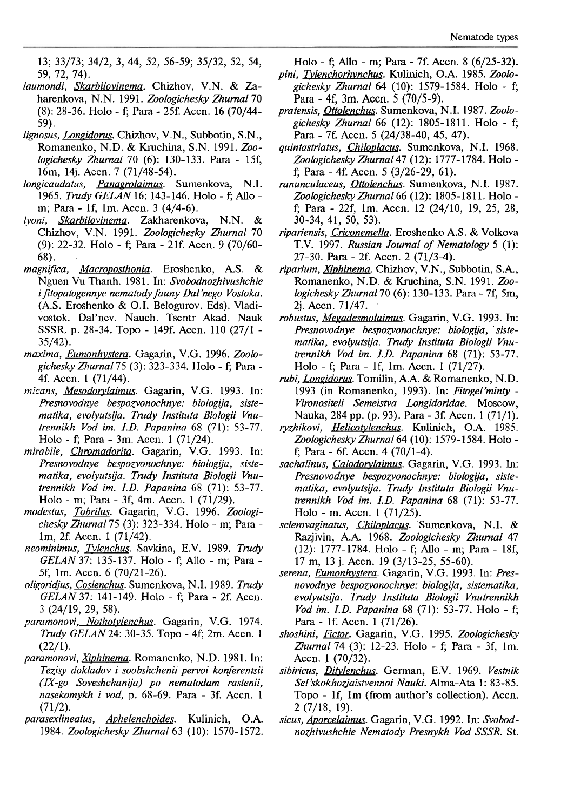13; 33/73; 34/2, 3, 44, 52, 56-59; 35/32, 52, 54, 59, 72, 74).

- laumondi, Skarbilovinema. Chizhov, V.N. & Zaharenkova, N.N. 1991. Zoologichesky Zhurnal 70 (8): 28-36. Holo - **f;** Para - 25f. Accn. 16 (70/44- 59).
- lignosus, Longidorus. Chizhov, V.N., Subbotin, S.N., Romanenko, N.D. & Kruchina, S.N. 1991. Zoologichesky Zhurnal 70 (6): 130-133. Para - 15f, 16m, 14j. Accn. 7 (71/48-54).
- longicaudatus, Panagrolaimus. Sumenkova, N.I. 1965. Trudy GELAN 16: 143-146. Holo - **f;** AUo m; Para - If, lm. Accn. 3 (4/4-6).
- lyoni, Skarbilovinema. Zakharenkova, N.N. & Chizhov, V.N. 1991. Zoologichesky Zhurnal 70 (9): 22-32. Holo - **f;** Para - 21f. Accn. 9 (70/60- 68). .
- magnifica, Macroposthonia. Eroshenko, A.S. & Nguen Vu Thanh. 1981. In: Svobodnozhivushchie i fitopatogennye nematody fauny Dal'nego Vostoka. (A.S. Eroshenko & 0.1. Belogurov. Eds). Vladivostok. Dal'nev. Nauch. Tsentr Akad. Nauk SSSR. p. 28-34. Topo - 149f. Accn. 110 (27/1 - 35/42).
- maxima, Eumonhystera. Gagarin, V.G. 1996. Zoologichesky Zhurnal75 (3): 323-334. Holo - **f;** Pam - 4f. Accn. 1 (71/44).
- micans, Mesodorylaimus. Gagarin, V.G. 1993. In: Presnovodnye bespozyonochnye: biologija, sistematika, evolyutsija. Trudy Instituta Biologii Vnutrennikh Vod im. I.D. Papanina 68 (71): 53-77. Holo - f; Para - 3m. Accn. 1 (71/24).
- mirabile, *Chromadorita*. Gagarin, V.G. 1993. In: Presnovodnye bespozyonochnye: biologija, sistematika, evolyutsija. Trudy Instituta Biologii Vnutrennikh Vod im. I.D. Papanina 68 (71): 53-77. Holo - m; Para - 3f, 4m. Accn. 1 (71/29).
- modestus, Tobrilus. Gagarin, V.G. 1996. Zoologichesky Zhurnal75 (3): 323-334. Holo - m; Pam lm, 2f. Accn. 1 (71/42).
- neominimus, Tylenchus. Savkina, E.V. 1989. Trudy GEUN 37: 135-137. Holo - **f;** Allo - m; Para - 5f, lm. Accn. 6 (70/21-26).
- oligoridjus, Coslenchus. Sumenkova, N.I. 1989. Trudy GELAN 37: 141-149. Holo - **f;** Para - 2f. Accn. 3 (24/19, 29, 58).
- paramonovi, Nothotylenchus. Gagarin, V.G. 1974. Trudy GELAN 24: 30-35. Topo - 4f; 2m. Accn. 1  $(22/1).$
- paramonovi, Xiphinema. Romanenko, N.D. 1981. In: Tezisy dokladov i soobshchenii pervoi konferentsii (IX-go Soveshchanija) po nematodam rastenii, nasekomykh i vod, p. 68-69. Para - 3f. Accn. 1  $(71/2)$ .<br>parasexlineatus,
- Aphelenchoides. Kulinich, O.A. 1984. Zoologichesky Zhurnal63 (10): 1570- 1572.

Holo - **f;** Allo - m; Para - 7f. Accn. 8 (6/25-32).

- pini, Tylenchorhynchus. Kulinich, O.A. 1985. Zoologichesky Zhumal 64 (10): 1579-1584. Holo - **f;**  Para - 4f, 3m. Accn. 5 (70/5-9).
- pratensis, Ottolenchus. Sumenkova, N.I. 1987. Zoologichesky Zhurnal 66 (12): 1805-1811. Holo - **f;**  Para - 7f. Accn. 5 (24/38-40, 45, 47).
- quintastriatus, Chiloplacus. Sumenkova, N.I. 1968. Zoologichesky Zhurnal47 (12): 1777- 1784. Holo f; Para - 4f. Accn. 5 (3/26-29, 61).
- ranunculaceus, Ottolenchus. Sumenkova, N.I. 1987. Zoologichesky Zhurnal 66 (12): 1805-1811. Holo **f;** Para - 22f, lm. Accn. 12 (24/10, 19, 25, 28, 30-34, 41, 50, 53).
- ripariensis, Criconemella. Eroshenko A.S. & Volkova T.V. 1997. Russian Joumal of Nematology 5 (1): 27-30. Para - 2f. Accn. 2 (71/3-4).
- riparium, Xiphinema. Chizhov, V.N., Subbotin, S.A., Romanenko, N.D. & Kruchina, S.N. 1991. Zoologichesky Zhurnal70 (6): 130-133. Para - 7f, 5m, 2j. Accn. 71/47. .
- robustus, Megadesmolaimus. Gagarin, V.G. 1993. In: Presnovodnye bespozyonochnye: biologija, ' sistematika, evolyutsija. Trudy Instituta Biologii Vnutrennikh Vod im. I.D. Papanina 68 (71): 53-77. Holo - **f;** Para - If, lm. Accn. 1 (71/27).
- rubi, Longidorus. Tomilin, A.A. & Romanenko, N.D. 1993 (in Romanenko, 1993). In: Fitogel'minty -Vironositeli Semeistva Longidoridae. Moscow, Nauka, 284 pp. (p. 93). Para - 3f. Accn. 1 (71/1).
- ryzhikovi, Helicotylenchus. Kulinich, O.A. 1985. Zoologichesky Zhurnal 64 (10): 1579-1584. Holo **f;** Para - 6f. Accn. 4 (70/1-4).
- sachalinus, Calodorylaimus. Gagarin, V.G. 1993. In: Presnovodnye bespozvonochnye: biologija, sistematika, evolyutsija. Trudy Instituta Biologii Vnutrennikh Vod im. I.D. Papanina 68 (71): 53-77. Holo - m. Accn. 1 (71/25).
- sclerovaginatus, Chiloplacus. Sumenkova, N.I. & Razjivin, A.A. 1968. Zoologichesky Zhumal 47 (12): 1777-1784. Holo - **f;** AUo - m; Para - 18f, 17 m, 13 j. Accn. 19 (3/13-25, 55-60).
- serena, *Eumonhystera*. Gagarin, V.G. 1993. In: Presnovodnye bespozyonochnye: biologija, sistematika, evolyutsija. Trudy Instituta Biologii Vnutrennikh Vod im. I.D. Papanina 68 (7 1): 53-77. Holo - **f;**  Para - If. Accn. 1 (71/26).
- shoshini, Fictor. Gagarin, V.G. 1995. Zoologichesky Zhurnal74 (3): 12-23. Holo - **f;** Para - 3f, lm. Accn. 1 (70/32).
- sibiricus, Ditylenchus. German, E.V. 1969. Vestnik Sel'skokhozjaistvennoi Nauki. Alma-Ata 1: 83-85. Topo - If, 1m (from author's collection). Accn. 2 (7/18, 19).
- sicus, **Aporcelaimus**. Gagarin, V.G. 1992. In: Svobodnozhivushchie Nematody Presnykh Vod SSSR. St.